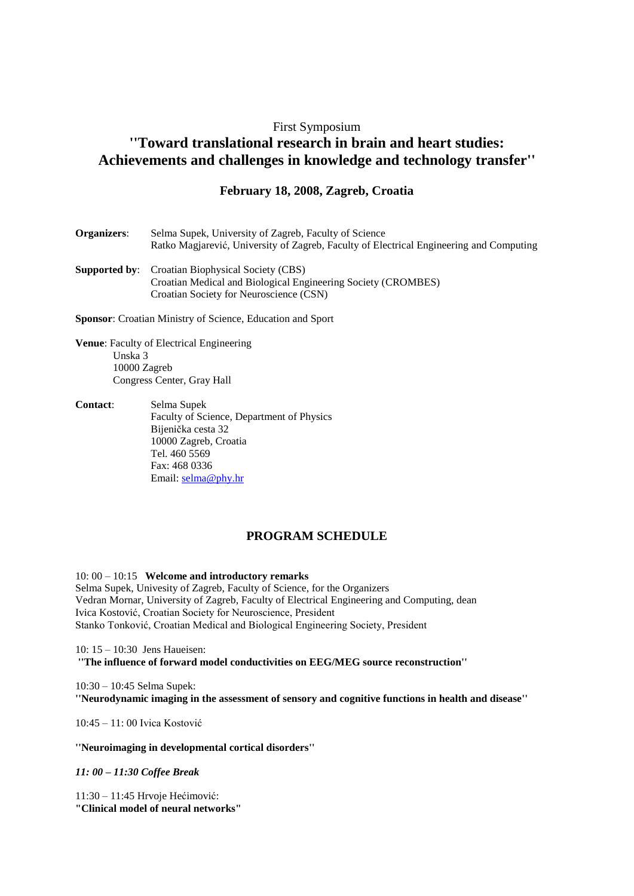## First Symposium

## **''Toward translational research in brain and heart studies: Achievements and challenges in knowledge and technology transfer''**

## **February 18, 2008, Zagreb, Croatia**

| Organizers:             | Selma Supek, University of Zagreb, Faculty of Science<br>Ratko Magiarević, University of Zagreb, Faculty of Electrical Engineering and Computing                    |
|-------------------------|---------------------------------------------------------------------------------------------------------------------------------------------------------------------|
|                         | <b>Supported by:</b> Croatian Biophysical Society (CBS)<br>Croatian Medical and Biological Engineering Society (CROMBES)<br>Croatian Society for Neuroscience (CSN) |
|                         | <b>Sponsor:</b> Croatian Ministry of Science, Education and Sport                                                                                                   |
| Unska 3<br>10000 Zagreb | <b>Venue:</b> Faculty of Electrical Engineering<br>Congress Center, Gray Hall                                                                                       |
| <b>Contact:</b>         | Selma Supek<br>Faculty of Science, Department of Physics                                                                                                            |

Faculty of Science, Department of Physics Bijenička cesta 32 10000 Zagreb, Croatia Tel. 460 5569 Fax: 468 0336 Email: [selma@phy.hr](mailto:selma@phy.hr)

## **PROGRAM SCHEDULE**

10: 00 – 10:15 **Welcome and introductory remarks** Selma Supek, Univesity of Zagreb, Faculty of Science, for the Organizers Vedran Mornar, University of Zagreb, Faculty of Electrical Engineering and Computing, dean Ivica Kostović, Croatian Society for Neuroscience, President Stanko Tonković, Croatian Medical and Biological Engineering Society, President

10: 15 – 10:30 Jens Haueisen: **''The influence of forward model conductivities on EEG/MEG source reconstruction''**

10:30 – 10:45 Selma Supek: **''Neurodynamic imaging in the assessment of sensory and cognitive functions in health and disease''**

10:45 – 11: 00 Ivica Kostović

**''Neuroimaging in developmental cortical disorders''**

*11: 00 – 11:30 Coffee Break*

11:30 – 11:45 Hrvoje Hećimović: **"Clinical model of neural networks"**